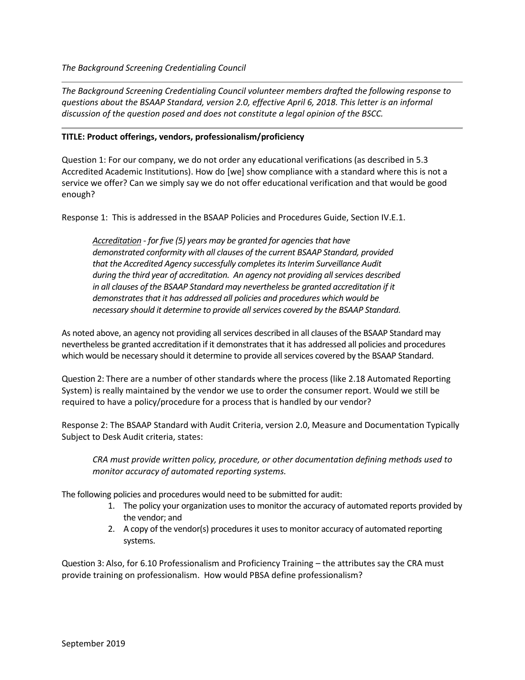*The Background Screening Credentialing Council volunteer members drafted the following response to questions about the BSAAP Standard, version 2.0, effective April 6, 2018. This letter is an informal discussion of the question posed and does not constitute a legal opinion of the BSCC.*

## **TITLE: Product offerings, vendors, professionalism/proficiency**

Question 1: For our company, we do not order any educational verifications (as described in 5.3 Accredited Academic Institutions). How do [we] show compliance with a standard where this is not a service we offer? Can we simply say we do not offer educational verification and that would be good enough?

Response 1: This is addressed in the BSAAP Policies and Procedures Guide, Section IV.E.1.

*Accreditation - for five (5) years may be granted for agencies that have demonstrated conformity with all clauses of the current BSAAP Standard, provided that the Accredited Agency successfully completes its Interim Surveillance Audit during the third year of accreditation. An agency not providing all services described in all clauses of the BSAAP Standard may nevertheless be granted accreditation if it demonstrates that it has addressed all policies and procedures which would be necessary should it determine to provide all services covered by the BSAAP Standard.*

As noted above, an agency not providing all services described in all clauses of the BSAAP Standard may nevertheless be granted accreditation if it demonstrates that it has addressed all policies and procedures which would be necessary should it determine to provide all services covered by the BSAAP Standard.

Question 2: There are a number of other standards where the process (like 2.18 Automated Reporting System) is really maintained by the vendor we use to order the consumer report. Would we still be required to have a policy/procedure for a process that is handled by our vendor?

Response 2: The BSAAP Standard with Audit Criteria, version 2.0, Measure and Documentation Typically Subject to Desk Audit criteria, states:

*CRA must provide written policy, procedure, or other documentation defining methods used to monitor accuracy of automated reporting systems.*

The following policies and procedures would need to be submitted for audit:

- 1. The policy your organization uses to monitor the accuracy of automated reports provided by the vendor; and
- 2. A copy of the vendor(s) procedures it uses to monitor accuracy of automated reporting systems.

Question 3: Also, for 6.10 Professionalism and Proficiency Training – the attributes say the CRA must provide training on professionalism. How would PBSA define professionalism?